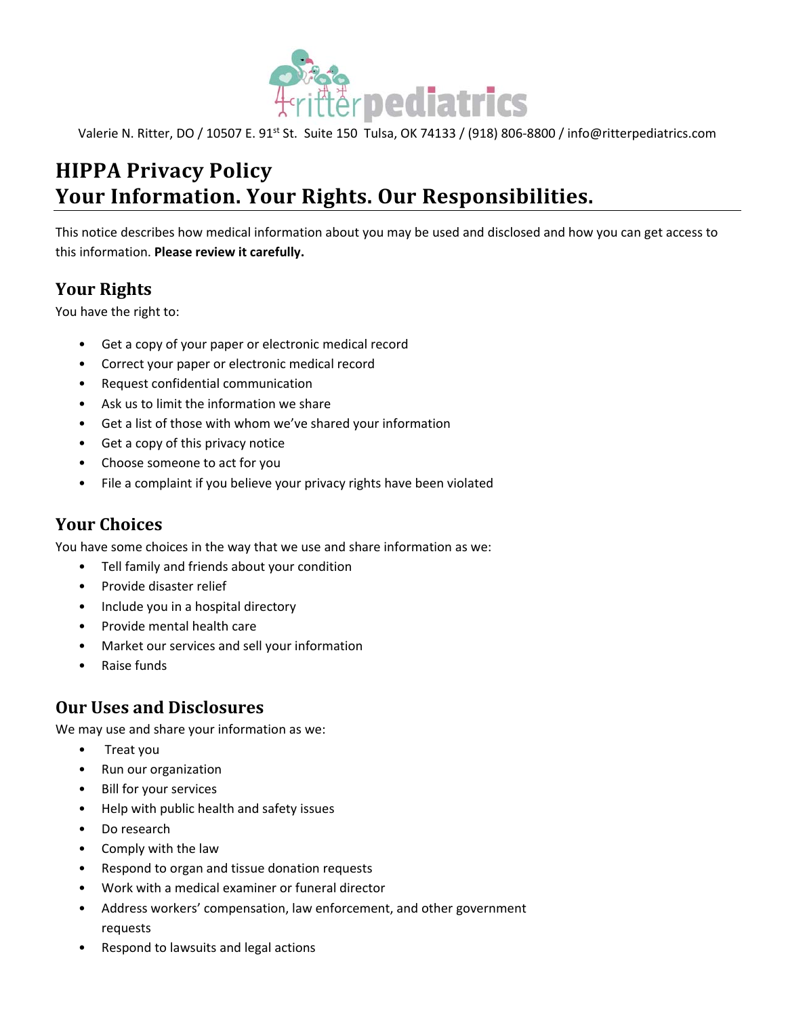

Valerie N. Ritter, DO / 10507 E. 91st St. Suite 150 Tulsa, OK 74133 / (918) 806‐8800 / info@ritterpediatrics.com

# **HIPPA Privacy Policy Your Information. Your Rights. Our Responsibilities.**

This notice describes how medical information about you may be used and disclosed and how you can get access to this information. **Please review it carefully.**

## **Your Rights**

You have the right to:

- Get a copy of your paper or electronic medical record
- Correct your paper or electronic medical record
- Request confidential communication
- Ask us to limit the information we share
- Get a list of those with whom we've shared your information
- Get a copy of this privacy notice
- Choose someone to act for you
- File a complaint if you believe your privacy rights have been violated

## **Your Choices**

You have some choices in the way that we use and share information as we:

- Tell family and friends about your condition
- Provide disaster relief
- Include you in a hospital directory
- Provide mental health care
- Market our services and sell your information
- Raise funds

## **Our Uses and Disclosures**

We may use and share your information as we:

- Treat you
- Run our organization
- Bill for your services
- Help with public health and safety issues
- Do research
- Comply with the law
- Respond to organ and tissue donation requests
- Work with a medical examiner or funeral director
- Address workers' compensation, law enforcement, and other government requests
- Respond to lawsuits and legal actions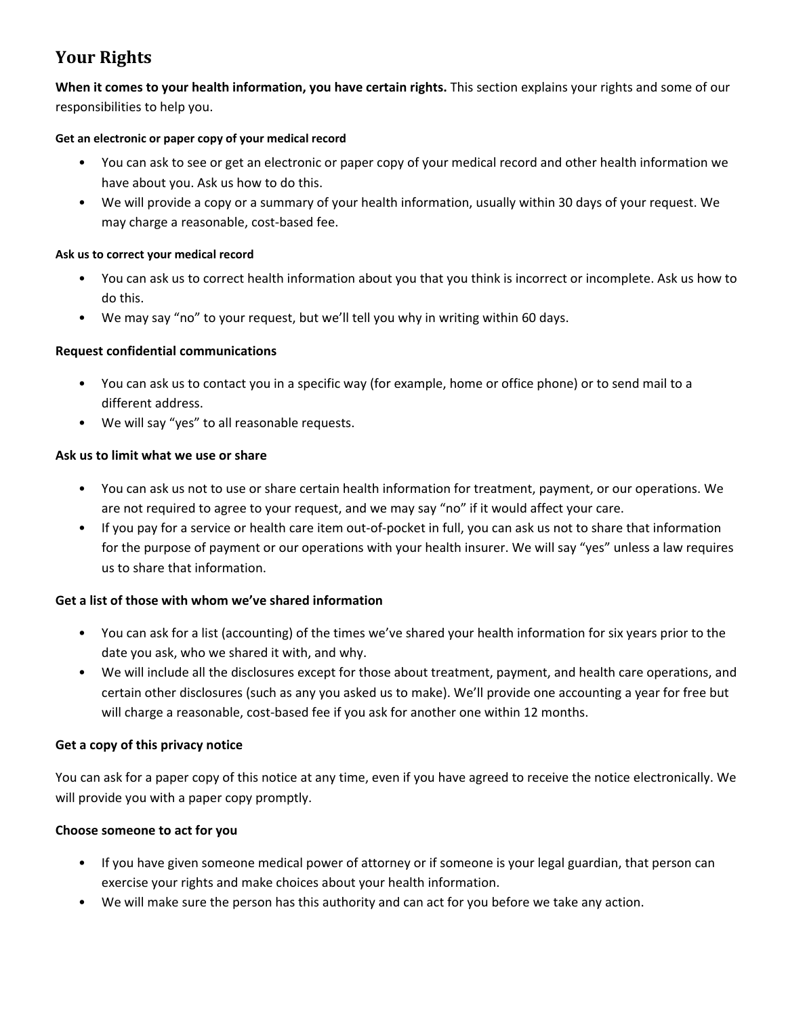## **Your Rights**

**When it comes to your health information, you have certain rights.** This section explains your rights and some of our responsibilities to help you.

### **Get an electronic or paper copy of your medical record**

- You can ask to see or get an electronic or paper copy of your medical record and other health information we have about you. Ask us how to do this.
- We will provide a copy or a summary of your health information, usually within 30 days of your request. We may charge a reasonable, cost‐based fee.

#### **Ask us to correct your medical record**

- You can ask us to correct health information about you that you think is incorrect or incomplete. Ask us how to do this.
- We may say "no" to your request, but we'll tell you why in writing within 60 days.

### **Request confidential communications**

- You can ask us to contact you in a specific way (for example, home or office phone) or to send mail to a different address.
- We will say "yes" to all reasonable requests.

### **Ask us to limit what we use or share**

- You can ask us not to use or share certain health information for treatment, payment, or our operations. We are not required to agree to your request, and we may say "no" if it would affect your care.
- If you pay for a service or health care item out-of-pocket in full, you can ask us not to share that information for the purpose of payment or our operations with your health insurer. We will say "yes" unless a law requires us to share that information.

### **Get a list of those with whom we've shared information**

- You can ask for a list (accounting) of the times we've shared your health information for six years prior to the date you ask, who we shared it with, and why.
- We will include all the disclosures except for those about treatment, payment, and health care operations, and certain other disclosures (such as any you asked us to make). We'll provide one accounting a year for free but will charge a reasonable, cost-based fee if you ask for another one within 12 months.

### **Get a copy of this privacy notice**

You can ask for a paper copy of this notice at any time, even if you have agreed to receive the notice electronically. We will provide you with a paper copy promptly.

### **Choose someone to act for you**

- If you have given someone medical power of attorney or if someone is your legal guardian, that person can exercise your rights and make choices about your health information.
- We will make sure the person has this authority and can act for you before we take any action.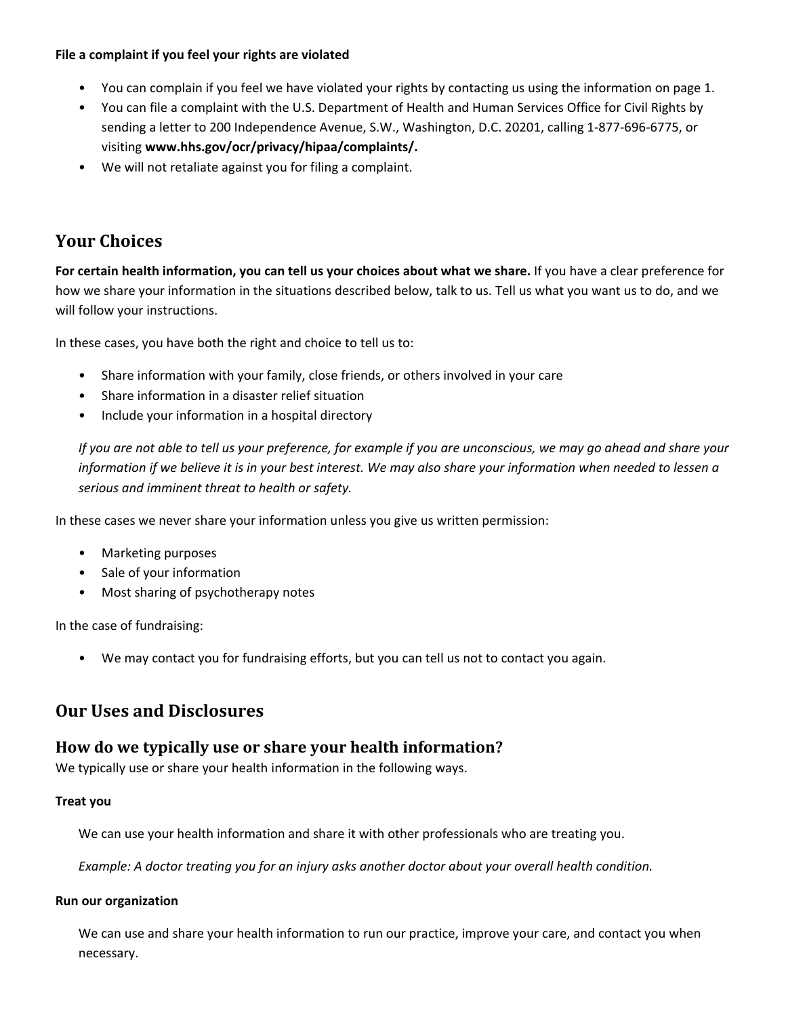### **File a complaint if you feel your rights are violated**

- You can complain if you feel we have violated your rights by contacting us using the information on page 1.
- You can file a complaint with the U.S. Department of Health and Human Services Office for Civil Rights by sending a letter to 200 Independence Avenue, S.W., Washington, D.C. 20201, calling 1‐877‐696‐6775, or visiting **www.hhs.gov/ocr/privacy/hipaa/complaints/.**
- We will not retaliate against you for filing a complaint.

## **Your Choices**

**For certain health information, you can tell us your choices about what we share.** If you have a clear preference for how we share your information in the situations described below, talk to us. Tell us what you want us to do, and we will follow your instructions.

In these cases, you have both the right and choice to tell us to:

- Share information with your family, close friends, or others involved in your care
- Share information in a disaster relief situation
- Include your information in a hospital directory

If you are not able to tell us your preference, for example if you are unconscious, we may go ahead and share your information if we believe it is in your best interest. We may also share your information when needed to lessen a *serious and imminent threat to health or safety.*

In these cases we never share your information unless you give us written permission:

- Marketing purposes
- Sale of your information
- Most sharing of psychotherapy notes

In the case of fundraising:

• We may contact you for fundraising efforts, but you can tell us not to contact you again.

## **Our Uses and Disclosures**

### **How do we typically use or share your health information?**

We typically use or share your health information in the following ways.

### **Treat you**

We can use your health information and share it with other professionals who are treating you.

*Example: A doctor treating you for an injury asks another doctor about your overall health condition.*

### **Run our organization**

We can use and share your health information to run our practice, improve your care, and contact you when necessary.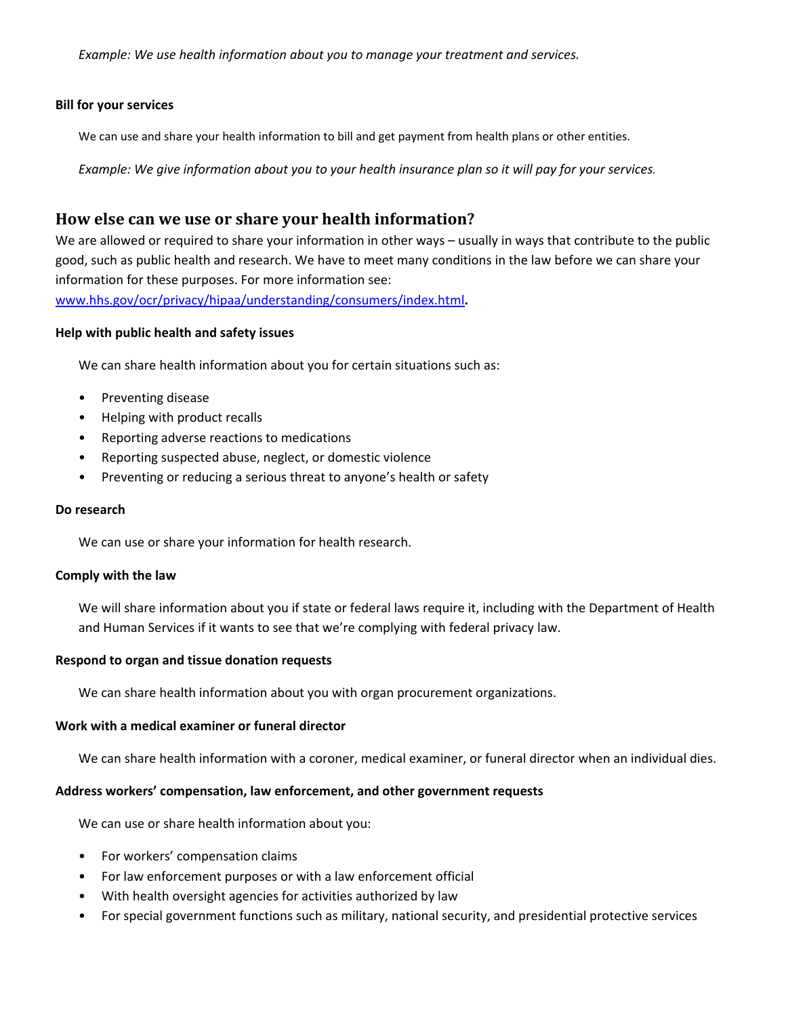*Example: We use health information about you to manage your treatment and services.* 

#### **Bill for your services**

We can use and share your health information to bill and get payment from health plans or other entities.

Example: We give information about you to your health insurance plan so it will pay for your services.

### **How else can we use or share your health information?**

We are allowed or required to share your information in other ways – usually in ways that contribute to the public good, such as public health and research. We have to meet many conditions in the law before we can share your information for these purposes. For more information see: www.hhs.gov/ocr/privacy/hipaa/understanding/consumers/index.html**.**

#### **Help with public health and safety issues**

We can share health information about you for certain situations such as:

- Preventing disease
- Helping with product recalls
- Reporting adverse reactions to medications
- Reporting suspected abuse, neglect, or domestic violence
- Preventing or reducing a serious threat to anyone's health or safety

#### **Do research**

We can use or share your information for health research.

#### **Comply with the law**

We will share information about you if state or federal laws require it, including with the Department of Health and Human Services if it wants to see that we're complying with federal privacy law.

#### **Respond to organ and tissue donation requests**

We can share health information about you with organ procurement organizations.

#### **Work with a medical examiner or funeral director**

We can share health information with a coroner, medical examiner, or funeral director when an individual dies.

#### **Address workers' compensation, law enforcement, and other government requests**

We can use or share health information about you:

- For workers' compensation claims
- For law enforcement purposes or with a law enforcement official
- With health oversight agencies for activities authorized by law
- For special government functions such as military, national security, and presidential protective services